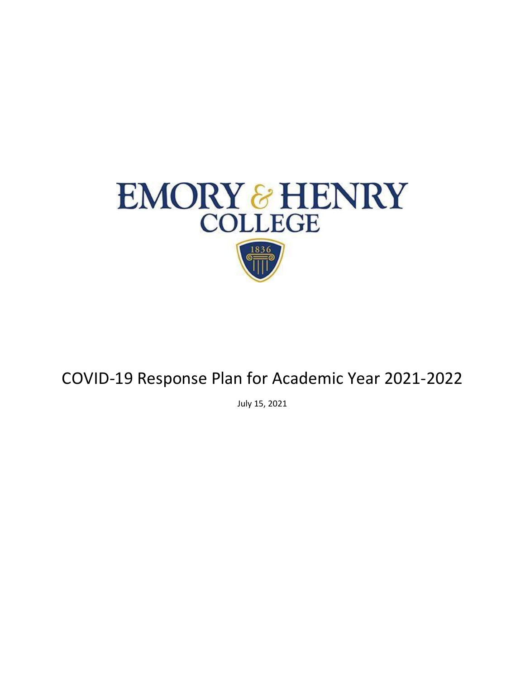

# COVID-19 Response Plan for Academic Year 2021-2022

July 15, 2021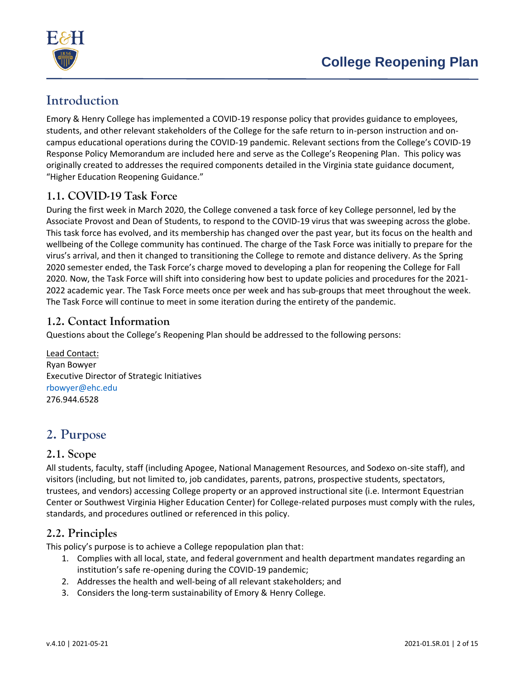

# **Introduction**

Emory & Henry College has implemented a COVID-19 response policy that provides guidance to employees, students, and other relevant stakeholders of the College for the safe return to in-person instruction and oncampus educational operations during the COVID-19 pandemic. Relevant sections from the College's COVID-19 Response Policy Memorandum are included here and serve as the College's Reopening Plan. This policy was originally created to addresses the required components detailed in the Virginia state guidance document, "Higher Education Reopening Guidance."

# **1.1. COVID-19 Task Force**

During the first week in March 2020, the College convened a task force of key College personnel, led by the Associate Provost and Dean of Students, to respond to the COVID-19 virus that was sweeping across the globe. This task force has evolved, and its membership has changed over the past year, but its focus on the health and wellbeing of the College community has continued. The charge of the Task Force was initially to prepare for the virus's arrival, and then it changed to transitioning the College to remote and distance delivery. As the Spring 2020 semester ended, the Task Force's charge moved to developing a plan for reopening the College for Fall 2020. Now, the Task Force will shift into considering how best to update policies and procedures for the 2021- 2022 academic year. The Task Force meets once per week and has sub-groups that meet throughout the week. The Task Force will continue to meet in some iteration during the entirety of the pandemic.

# **1.2. Contact Information**

Questions about the College's Reopening Plan should be addressed to the following persons:

Lead Contact: Ryan Bowyer Executive Director of Strategic Initiatives [rbowyer@ehc.edu](mailto:rbowyer@ehc.edu) 276.944.6528

# **2. Purpose**

# **2.1. Scope**

All students, faculty, staff (including Apogee, National Management Resources, and Sodexo on-site staff), and visitors (including, but not limited to, job candidates, parents, patrons, prospective students, spectators, trustees, and vendors) accessing College property or an approved instructional site (i.e. Intermont Equestrian Center or Southwest Virginia Higher Education Center) for College-related purposes must comply with the rules, standards, and procedures outlined or referenced in this policy.

# **2.2. Principles**

This policy's purpose is to achieve a College repopulation plan that:

- 1. Complies with all local, state, and federal government and health department mandates regarding an institution's safe re-opening during the COVID-19 pandemic;
- 2. Addresses the health and well-being of all relevant stakeholders; and
- 3. Considers the long-term sustainability of Emory & Henry College.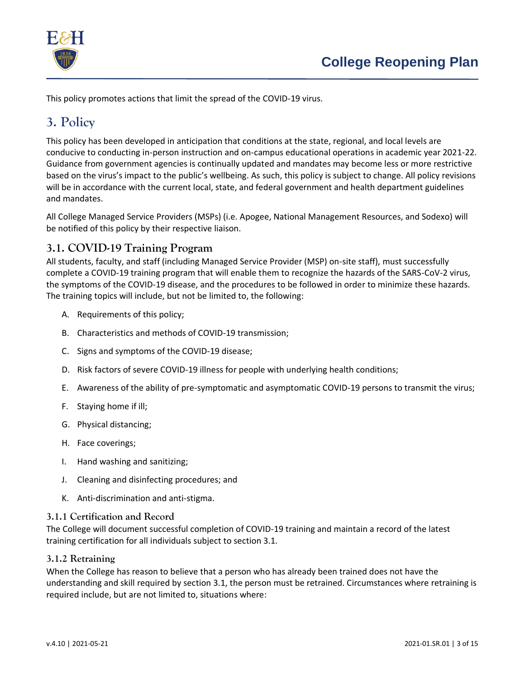

This policy promotes actions that limit the spread of the COVID-19 virus.

# **3. Policy**

This policy has been developed in anticipation that conditions at the state, regional, and local levels are conducive to conducting in-person instruction and on-campus educational operations in academic year 2021-22. Guidance from government agencies is continually updated and mandates may become less or more restrictive based on the virus's impact to the public's wellbeing. As such, this policy is subject to change. All policy revisions will be in accordance with the current local, state, and federal government and health department guidelines and mandates.

All College Managed Service Providers (MSPs) (i.e. Apogee, National Management Resources, and Sodexo) will be notified of this policy by their respective liaison.

# <span id="page-2-0"></span>**3.1. COVID-19 Training Program**

All students, faculty, and staff (including Managed Service Provider (MSP) on-site staff), must successfully complete a COVID-19 training program that will enable them to recognize the hazards of the SARS-CoV-2 virus, the symptoms of the COVID-19 disease, and the procedures to be followed in order to minimize these hazards. The training topics will include, but not be limited to, the following:

- A. Requirements of this policy;
- B. Characteristics and methods of COVID-19 transmission;
- C. Signs and symptoms of the COVID-19 disease;
- D. Risk factors of severe COVID-19 illness for people with underlying health conditions;
- E. Awareness of the ability of pre-symptomatic and asymptomatic COVID-19 persons to transmit the virus;
- F. Staying home if ill;
- G. Physical distancing;
- H. Face coverings;
- I. Hand washing and sanitizing;
- J. Cleaning and disinfecting procedures; and
- K. Anti-discrimination and anti-stigma.

#### **3.1.1 Certification and Record**

The College will document successful completion of COVID-19 training and maintain a record of the latest training certification for all individuals subject to section [3.1.](#page-2-0)

#### **3.1.2 Retraining**

When the College has reason to believe that a person who has already been trained does not have the understanding and skill required by section [3.1,](#page-2-0) the person must be retrained. Circumstances where retraining is required include, but are not limited to, situations where: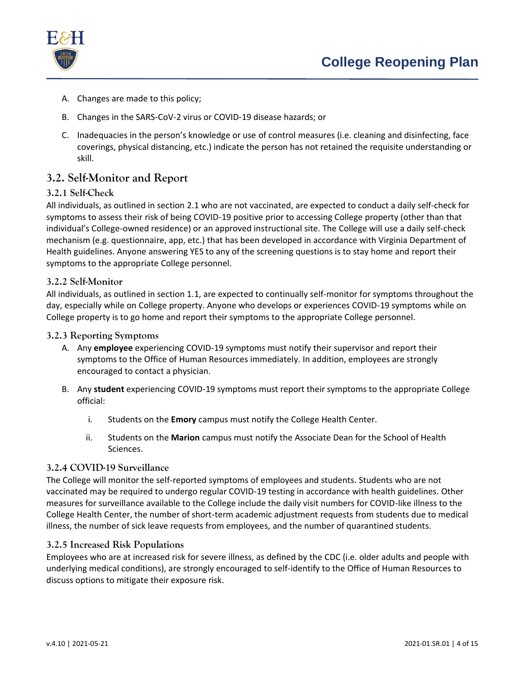



- A. Changes are made to this policy;
- B. Changes in the SARS-CoV-2 virus or COVID-19 disease hazards; or
- C. Inadequacies in the person's knowledge or use of control measures (i.e. cleaning and disinfecting, face coverings, physical distancing, etc.) indicate the person has not retained the requisite understanding or skill.

# **3.2. Self-Monitor and Report**

#### **3.2.1 Self-Check**

All individuals, as outlined in section 2.1 who are not vaccinated, are expected to conduct a daily self-check for symptoms to assess their risk of being COVID-19 positive prior to accessing College property (other than that individual's College-owned residence) or an approved instructional site. The College will use a daily self-check mechanism (e.g. questionnaire, app, etc.) that has been developed in accordance with Virginia Department of Health guidelines. Anyone answering YES to any of the screening questions is to stay home and report their symptoms to the appropriate College personnel.

#### **3.2.2 Self-Monitor**

All individuals, as outlined in section 1.1, are expected to continually self-monitor for symptoms throughout the day, especially while on College property. Anyone who develops or experiences COVID-19 symptoms while on College property is to go home and report their symptoms to the appropriate College personnel.

#### **3.2.3 Reporting Symptoms**

- A. Any **employee** experiencing COVID-19 symptoms must notify their supervisor and report their symptoms to the Office of Human Resources immediately. In addition, employees are strongly encouraged to contact a physician.
- B. Any **student** experiencing COVID-19 symptoms must report their symptoms to the appropriate College official:
	- i. Students on the **Emory** campus must notify the College Health Center.
	- ii. Students on the **Marion** campus must notify the Associate Dean for the School of Health Sciences.

#### **3.2.4 COVID-19 Surveillance**

The College will monitor the self-reported symptoms of employees and students. Students who are not vaccinated may be required to undergo regular COVID-19 testing in accordance with health guidelines. Other measures for surveillance available to the College include the daily visit numbers for COVID-like illness to the College Health Center, the number of short-term academic adjustment requests from students due to medical illness, the number of sick leave requests from employees, and the number of quarantined students.

#### **3.2.5 Increased Risk Populations**

Employees who are at increased risk for severe illness, as defined by the CDC (i.e. older adults and people with underlying medical conditions), are strongly encouraged to self-identify to the Office of Human Resources to discuss options to mitigate their exposure risk.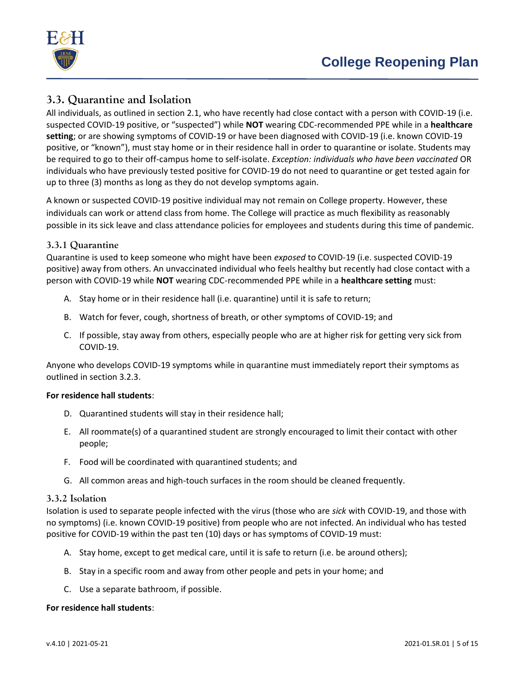

# **3.3. Quarantine and Isolation**

All individuals, as outlined in section 2.1, who have recently ha[d close contact](https://www.cdc.gov/coronavirus/2019-ncov/php/public-health-recommendations.html) with a person with COVID-19 (i.e. suspected COVID-19 positive, or "suspected") while **NOT** wearing CDC-recommended PPE while in a **healthcare setting**; or are showing [symptoms](https://www.cdc.gov/coronavirus/2019-ncov/symptoms-testing/symptoms.html) of COVID-19 or have been diagnosed with COVID-19 (i.e. known COVID-19 positive, or "known"), must stay home or in their residence hall in order to [quarantine or isolate.](https://www.cdc.gov/coronavirus/2019-ncov/if-you-are-sick/quarantine-isolation.html) Students may be required to go to their off-campus home to self-isolate. *Exception: individuals who have been vaccinated* OR individuals who have previously tested positive for COVID-19 do not need to quarantine or get tested again for up to three (3) months as long as they do not develop symptoms again.

A known or suspected COVID-19 positive individual may not remain on College property. However, these individuals can work or attend class from home. The College will practice as much flexibility as reasonably possible in its sick leave and class attendance policies for employees and students during this time of pandemic.

#### **3.3.1 Quarantine**

Quarantine is used to keep someone who might have been *exposed* to COVID-19 (i.e. suspected COVID-19 positive) away from others. An unvaccinated individual who feels healthy but recently had close contact with a person with COVID-19 while **NOT** wearing CDC-recommended PPE while in a **healthcare setting** must:

- A. Stay home or in their residence hall (i.e. quarantine) until it is safe to return;
- B. Watch for fever, cough, shortness of breath, or other symptoms of COVID-19; and
- C. If possible, stay away from others, especially people who are at higher risk for getting very sick from COVID-19.

Anyone who develops COVID-19 symptoms while in quarantine must immediately report their symptoms as outlined in section 3.2.3.

#### **For residence hall students**:

- D. Quarantined students will stay in their residence hall;
- E. All roommate(s) of a quarantined student are strongly encouraged to limit their contact with other people;
- F. Food will be coordinated with quarantined students; and
- G. All common areas and high-touch surfaces in the room should be cleaned frequently.

#### **3.3.2 Isolation**

Isolation is used to separate people infected with the virus (those who are *sick* with COVID-19, and those with no symptoms) (i.e. known COVID-19 positive) from people who are not infected. An individual who has tested positive for COVID-19 within the past ten (10) days or has symptoms of COVID-19 must:

- A. Stay home, except to get medical care, until it is safe to return (i.e. be around others);
- B. Stay in a specific room and away from other people and pets in your home; and
- C. Use a separate bathroom, if possible.

#### **For residence hall students**: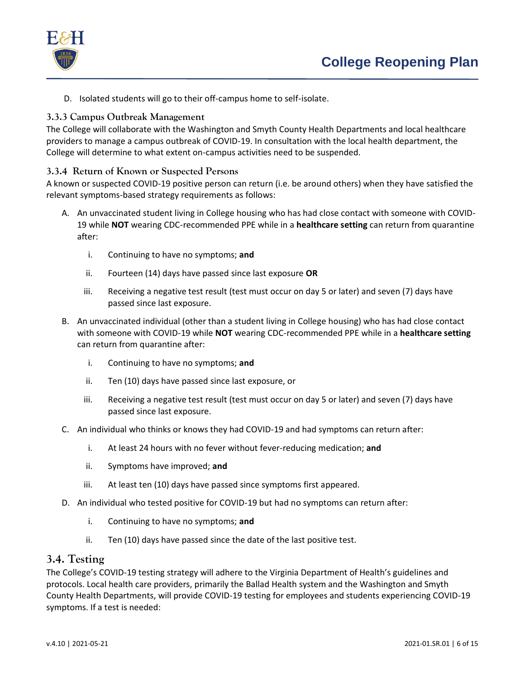

D. Isolated students will go to their off-campus home to self-isolate.

#### **3.3.3 Campus Outbreak Management**

The College will collaborate with the Washington and Smyth County Health Departments and local healthcare providers to manage a campus outbreak of COVID-19. In consultation with the local health department, the College will determine to what extent on-campus activities need to be suspended.

#### **3.3.4 Return of Known or Suspected Persons**

A known or suspected COVID-19 positive person can return (i.e. be around others) when they have satisfied the relevant symptoms-based strategy requirements as follows:

- A. An unvaccinated student living in College housing who has had close contact with someone with COVID-19 while **NOT** wearing CDC-recommended PPE while in a **healthcare setting** can return from quarantine after:
	- i. Continuing to have no symptoms; **and**
	- ii. Fourteen (14) days have passed since last exposure **OR**
	- iii. Receiving a negative test result (test must occur on day 5 or later) and seven (7) days have passed since last exposure.
- B. An unvaccinated individual (other than a student living in College housing) who has had close contact with someone with COVID-19 while **NOT** wearing CDC-recommended PPE while in a **healthcare setting** can return from quarantine after:
	- i. Continuing to have no symptoms; **and**
	- ii. Ten (10) days have passed since last exposure, or
	- iii. Receiving a negative test result (test must occur on day 5 or later) and seven (7) days have passed since last exposure.
- C. An individual who thinks or knows they had COVID-19 and had symptoms can return after:
	- i. At least 24 hours with no fever without fever-reducing medication; **and**
	- ii. Symptoms have improved; **and**
	- iii. At least ten (10) days have passed since symptoms first appeared.
- D. An individual who tested positive for COVID-19 but had no symptoms can return after:
	- i. Continuing to have no symptoms; **and**
	- ii. Ten (10) days have passed since the date of the last positive test.

#### **3.4. Testing**

The College's COVID-19 testing strategy will adhere to the Virginia Department of Health's guidelines and protocols. Local health care providers, primarily the Ballad Health system and the Washington and Smyth County Health Departments, will provide COVID-19 testing for employees and students experiencing COVID-19 symptoms. If a test is needed: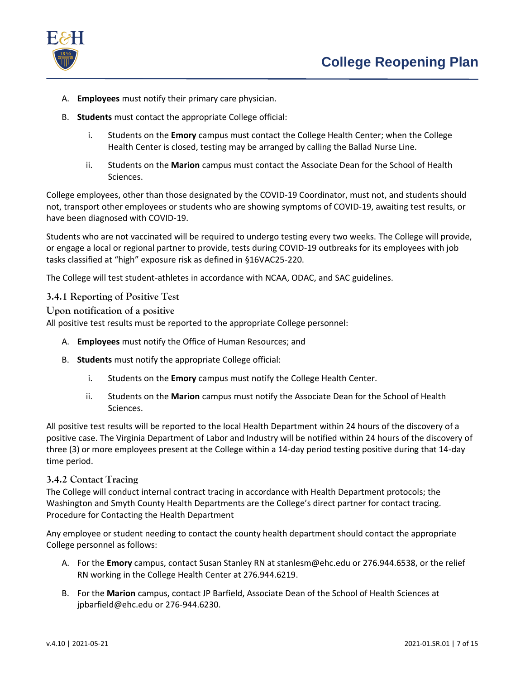

- A. **Employees** must notify their primary care physician.
- B. **Students** must contact the appropriate College official:
	- i. Students on the **Emory** campus must contact the College Health Center; when the College Health Center is closed, testing may be arranged by calling the Ballad Nurse Line.
	- ii. Students on the **Marion** campus must contact the Associate Dean for the School of Health Sciences.

College employees, other than those designated by the COVID-19 Coordinator, must not, and students should not, transport other employees or students who are showing symptoms of COVID-19, awaiting test results, or have been diagnosed with COVID-19.

Students who are not vaccinated will be required to undergo testing every two weeks. The College will provide, or engage a local or regional partner to provide, tests during COVID-19 outbreaks for its employees with job tasks classified at "high" exposure risk as defined in §16VAC25-220.

The College will test student-athletes in accordance with NCAA, ODAC, and SAC guidelines.

#### **3.4.1 Reporting of Positive Test**

#### **Upon notification of a positive**

All positive test results must be reported to the appropriate College personnel:

- A. **Employees** must notify the Office of Human Resources; and
- B. **Students** must notify the appropriate College official:
	- i. Students on the **Emory** campus must notify the College Health Center.
	- ii. Students on the **Marion** campus must notify the Associate Dean for the School of Health Sciences.

All positive test results will be reported to the local Health Department within 24 hours of the discovery of a positive case. The Virginia Department of Labor and Industry will be notified within 24 hours of the discovery of three (3) or more employees present at the College within a 14-day period testing positive during that 14-day time period.

#### **3.4.2 Contact Tracing**

The College will conduct internal contract tracing in accordance with Health Department protocols; the Washington and Smyth County Health Departments are the College's direct partner for contact tracing. Procedure for Contacting the Health Department

Any employee or student needing to contact the county health department should contact the appropriate College personnel as follows:

- A. For the **Emory** campus, contact Susan Stanley RN at stanlesm@ehc.edu or 276.944.6538, or the relief RN working in the College Health Center at 276.944.6219.
- B. For the **Marion** campus, contact JP Barfield, Associate Dean of the School of Health Sciences at jpbarfield@ehc.edu or 276-944.6230.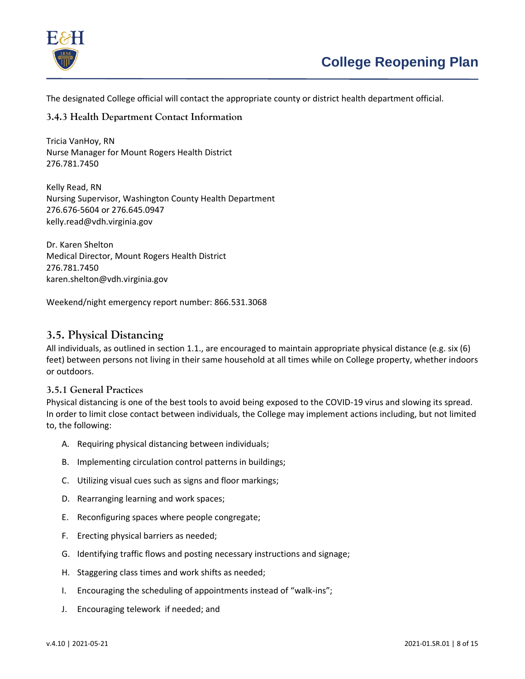

The designated College official will contact the appropriate county or district health department official.

#### **3.4.3 Health Department Contact Information**

Tricia VanHoy, RN Nurse Manager for Mount Rogers Health District 276.781.7450

Kelly Read, RN Nursing Supervisor, Washington County Health Department 276.676-5604 or 276.645.0947 kelly.read@vdh.virginia.gov

Dr. Karen Shelton Medical Director, Mount Rogers Health District 276.781.7450 karen.shelton@vdh.virginia.gov

Weekend/night emergency report number: 866.531.3068

### **3.5. Physical Distancing**

All individuals, as outlined in section 1.1., are encouraged to maintain appropriate physical distance (e.g. six (6) feet) between persons not living in their same household at all times while on College property, whether indoors or outdoors.

#### **3.5.1 General Practices**

Physical distancing is one of the best tools to avoid being exposed to the COVID-19 virus and slowing its spread. In order to limit close contact between individuals, the College may implement actions including, but not limited to, the following:

- A. Requiring physical distancing between individuals;
- B. Implementing circulation control patterns in buildings;
- C. Utilizing visual cues such as signs and floor markings;
- D. Rearranging learning and work spaces;
- E. Reconfiguring spaces where people congregate;
- F. Erecting physical barriers as needed;
- G. Identifying traffic flows and posting necessary instructions and signage;
- H. Staggering class times and work shifts as needed;
- I. Encouraging the scheduling of appointments instead of "walk-ins";
- J. Encouraging telework if needed; and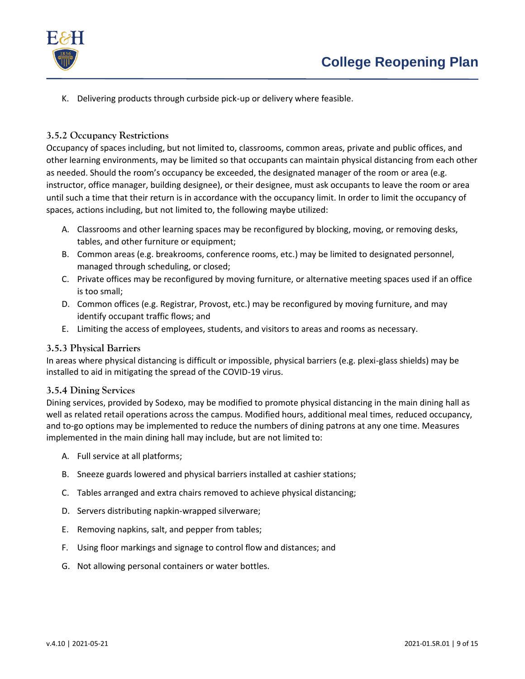

K. Delivering products through curbside pick-up or delivery where feasible.

#### **3.5.2 Occupancy Restrictions**

Occupancy of spaces including, but not limited to, classrooms, common areas, private and public offices, and other learning environments, may be limited so that occupants can maintain physical distancing from each other as needed. Should the room's occupancy be exceeded, the designated manager of the room or area (e.g. instructor, office manager, building designee), or their designee, must ask occupants to leave the room or area until such a time that their return is in accordance with the occupancy limit. In order to limit the occupancy of spaces, actions including, but not limited to, the following maybe utilized:

- A. Classrooms and other learning spaces may be reconfigured by blocking, moving, or removing desks, tables, and other furniture or equipment;
- B. Common areas (e.g. breakrooms, conference rooms, etc.) may be limited to designated personnel, managed through scheduling, or closed;
- C. Private offices may be reconfigured by moving furniture, or alternative meeting spaces used if an office is too small;
- D. Common offices (e.g. Registrar, Provost, etc.) may be reconfigured by moving furniture, and may identify occupant traffic flows; and
- E. Limiting the access of employees, students, and visitors to areas and rooms as necessary.

#### **3.5.3 Physical Barriers**

In areas where physical distancing is difficult or impossible, physical barriers (e.g. plexi-glass shields) may be installed to aid in mitigating the spread of the COVID-19 virus.

#### **3.5.4 Dining Services**

Dining services, provided by Sodexo, may be modified to promote physical distancing in the main dining hall as well as related retail operations across the campus. Modified hours, additional meal times, reduced occupancy, and to-go options may be implemented to reduce the numbers of dining patrons at any one time. Measures implemented in the main dining hall may include, but are not limited to:

- A. Full service at all platforms;
- B. Sneeze guards lowered and physical barriers installed at cashier stations;
- C. Tables arranged and extra chairs removed to achieve physical distancing;
- D. Servers distributing napkin-wrapped silverware;
- E. Removing napkins, salt, and pepper from tables;
- F. Using floor markings and signage to control flow and distances; and
- G. Not allowing personal containers or water bottles.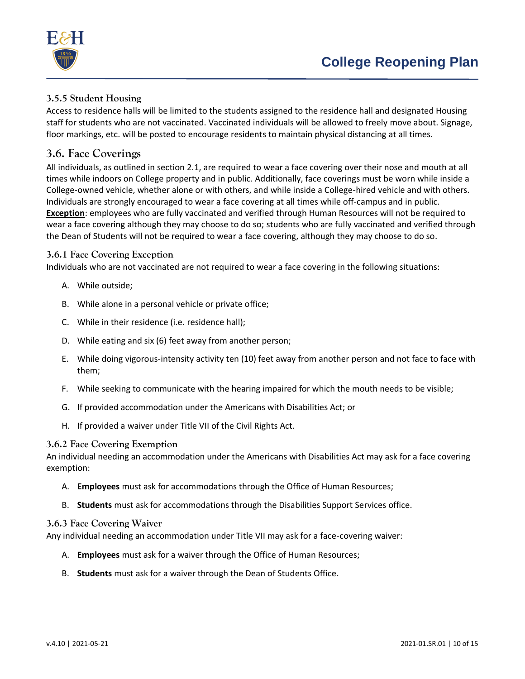

### **3.5.5 Student Housing**

Access to residence halls will be limited to the students assigned to the residence hall and designated Housing staff for students who are not vaccinated. Vaccinated individuals will be allowed to freely move about. Signage, floor markings, etc. will be posted to encourage residents to maintain physical distancing at all times.

# **3.6. Face Coverings**

All individuals, as outlined in section 2.1, are required to wear a face covering over their nose and mouth at all times while indoors on College property and in public. Additionally, face coverings must be worn while inside a College-owned vehicle, whether alone or with others, and while inside a College-hired vehicle and with others. Individuals are strongly encouraged to wear a face covering at all times while off-campus and in public. **Exception**: employees who are fully vaccinated and verified through Human Resources will not be required to wear a face covering although they may choose to do so; students who are fully vaccinated and verified through the Dean of Students will not be required to wear a face covering, although they may choose to do so.

#### **3.6.1 Face Covering Exception**

Individuals who are not vaccinated are not required to wear a face covering in the following situations:

- A. While outside;
- B. While alone in a personal vehicle or private office;
- C. While in their residence (i.e. residence hall);
- D. While eating and six (6) feet away from another person;
- E. While doing vigorous-intensity activity ten (10) feet away from another person and not face to face with them;
- F. While seeking to communicate with the hearing impaired for which the mouth needs to be visible;
- G. If provided accommodation under the Americans with Disabilities Act; or
- H. If provided a waiver under Title VII of the Civil Rights Act.

#### **3.6.2 Face Covering Exemption**

An individual needing an accommodation under the Americans with Disabilities Act may ask for a face covering exemption:

- A. **Employees** must ask for accommodations through the Office of Human Resources;
- B. **Students** must ask for accommodations through the Disabilities Support Services office.

#### **3.6.3 Face Covering Waiver**

Any individual needing an accommodation under Title VII may ask for a face-covering waiver:

- A. **Employees** must ask for a waiver through the Office of Human Resources;
- B. **Students** must ask for a waiver through the Dean of Students Office.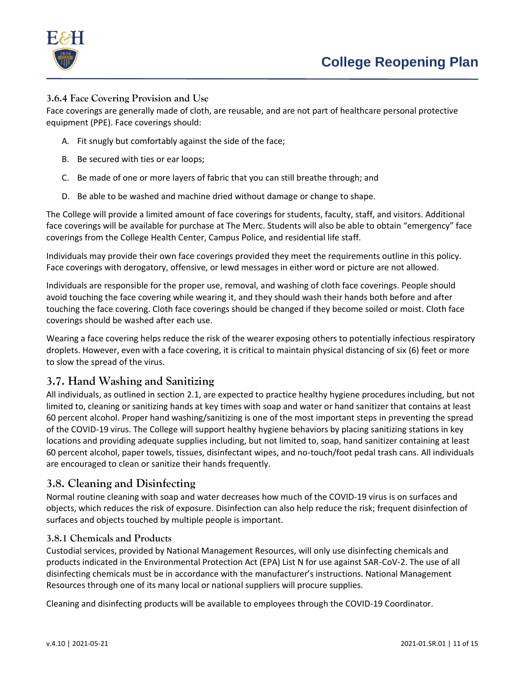



#### **3.6.4 Face Covering Provision and Use**

Face coverings are generally made of cloth, are reusable, and are not part of healthcare personal protective equipment (PPE). Face coverings should:

- A. Fit snugly but comfortably against the side of the face;
- B. Be secured with ties or ear loops;
- C. Be made of one or more layers of fabric that you can still breathe through; and
- D. Be able to be washed and machine dried without damage or change to shape.

The College will provide a limited amount of face coverings for students, faculty, staff, and visitors. Additional face coverings will be available for purchase at The Merc. Students will also be able to obtain "emergency" face coverings from the College Health Center, Campus Police, and residential life staff.

Individuals may provide their own face coverings provided they meet the requirements outline in this policy. Face coverings with derogatory, offensive, or lewd messages in either word or picture are not allowed.

Individuals are responsible for the proper use, removal, and washing of cloth face coverings. People should avoid touching the face covering while wearing it, and they should wash their hands both before and after touching the face covering. Cloth face coverings should be changed if they become soiled or moist. Cloth face coverings should be washed after each use.

Wearing a face covering helps reduce the risk of the wearer exposing others to potentially infectious respiratory droplets. However, even with a face covering, it is critical to maintain physical distancing of six (6) feet or more to slow the spread of the virus.

# **3.7. Hand Washing and Sanitizing**

All individuals, as outlined in section 2.1, are expected to practice healthy hygiene procedures including, but not limited to, cleaning or sanitizing hands at key times with soap and water or hand sanitizer that contains at least 60 percent alcohol. Proper hand washing/sanitizing is one of the most important steps in preventing the spread of the COVID-19 virus. The College will support healthy hygiene behaviors by placing sanitizing stations in key locations and providing adequate supplies including, but not limited to, soap, hand sanitizer containing at least 60 percent alcohol, paper towels, tissues, disinfectant wipes, and no-touch/foot pedal trash cans. All individuals are encouraged to clean or sanitize their hands frequently.

# **3.8. Cleaning and Disinfecting**

Normal routine cleaning with soap and water decreases how much of the COVID-19 virus is on surfaces and objects, which reduces the risk of exposure. Disinfection can also help reduce the risk; frequent disinfection of surfaces and objects touched by multiple people is important.

#### **3.8.1 Chemicals and Products**

Custodial services, provided by National Management Resources, will only use disinfecting chemicals and products indicated in the Environmental Protection Act (EPA) List N for use against SAR-CoV-2. The use of all disinfecting chemicals must be in accordance with the manufacturer's instructions. National Management Resources through one of its many local or national suppliers will procure supplies.

Cleaning and disinfecting products will be available to employees through the COVID-19 Coordinator.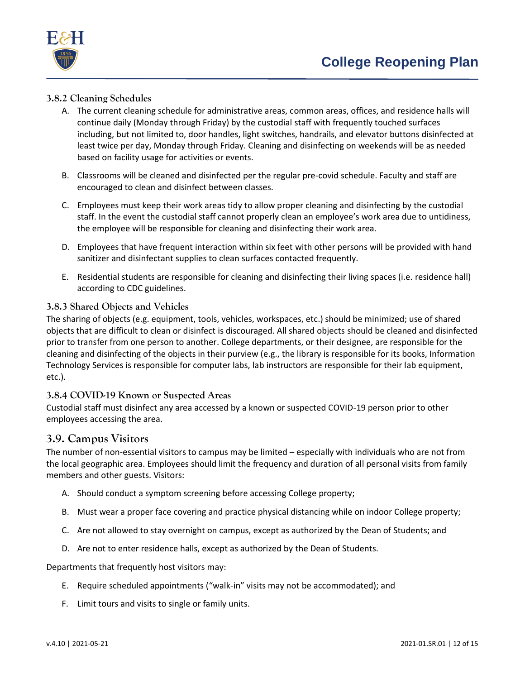

### **3.8.2 Cleaning Schedules**

- A. The current cleaning schedule for administrative areas, common areas, offices, and residence halls will continue daily (Monday through Friday) by the custodial staff with frequently touched surfaces including, but not limited to, door handles, light switches, handrails, and elevator buttons disinfected at least twice per day, Monday through Friday. Cleaning and disinfecting on weekends will be as needed based on facility usage for activities or events.
- B. Classrooms will be cleaned and disinfected per the regular pre-covid schedule. Faculty and staff are encouraged to clean and disinfect between classes.
- C. Employees must keep their work areas tidy to allow proper cleaning and disinfecting by the custodial staff. In the event the custodial staff cannot properly clean an employee's work area due to untidiness, the employee will be responsible for cleaning and disinfecting their work area.
- D. Employees that have frequent interaction within six feet with other persons will be provided with hand sanitizer and disinfectant supplies to clean surfaces contacted frequently.
- E. Residential students are responsible for cleaning and disinfecting their living spaces (i.e. residence hall) according to CDC guidelines.

#### **3.8.3 Shared Objects and Vehicles**

The sharing of objects (e.g. equipment, tools, vehicles, workspaces, etc.) should be minimized; use of shared objects that are difficult to clean or disinfect is discouraged. All shared objects should be cleaned and disinfected prior to transfer from one person to another. College departments, or their designee, are responsible for the cleaning and disinfecting of the objects in their purview (e.g., the library is responsible for its books, Information Technology Services is responsible for computer labs, lab instructors are responsible for their lab equipment, etc.).

#### **3.8.4 COVID-19 Known or Suspected Areas**

Custodial staff must disinfect any area accessed by a known or suspected COVID-19 person prior to other employees accessing the area.

#### **3.9. Campus Visitors**

The number of non-essential visitors to campus may be limited – especially with individuals who are not from the local geographic area. Employees should limit the frequency and duration of all personal visits from family members and other guests. Visitors:

- A. Should conduct a symptom screening before accessing College property;
- B. Must wear a proper face covering and practice physical distancing while on indoor College property;
- C. Are not allowed to stay overnight on campus, except as authorized by the Dean of Students; and
- D. Are not to enter residence halls, except as authorized by the Dean of Students.

Departments that frequently host visitors may:

- E. Require scheduled appointments ("walk-in" visits may not be accommodated); and
- F. Limit tours and visits to single or family units.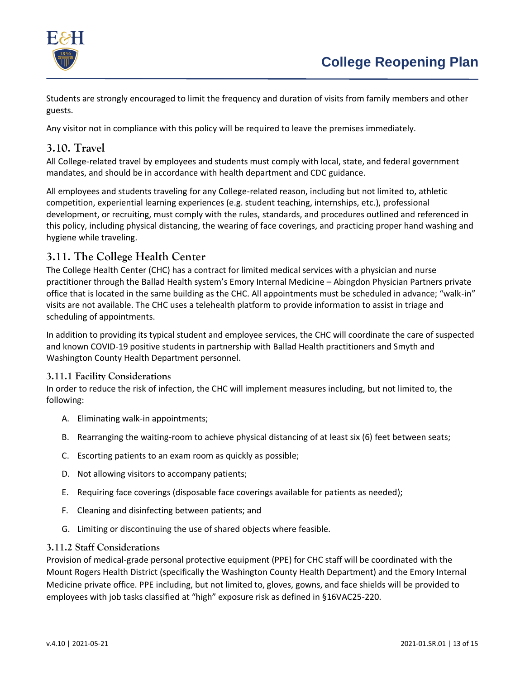

Students are strongly encouraged to limit the frequency and duration of visits from family members and other guests.

Any visitor not in compliance with this policy will be required to leave the premises immediately.

# **3.10. Travel**

All College-related travel by employees and students must comply with local, state, and federal government mandates, and should be in accordance with health department and CDC guidance.

All employees and students traveling for any College-related reason, including but not limited to, athletic competition, experiential learning experiences (e.g. student teaching, internships, etc.), professional development, or recruiting, must comply with the rules, standards, and procedures outlined and referenced in this policy, including physical distancing, the wearing of face coverings, and practicing proper hand washing and hygiene while traveling.

# **3.11. The College Health Center**

The College Health Center (CHC) has a contract for limited medical services with a physician and nurse practitioner through the Ballad Health system's Emory Internal Medicine – Abingdon Physician Partners private office that is located in the same building as the CHC. All appointments must be scheduled in advance; "walk-in" visits are not available. The CHC uses a telehealth platform to provide information to assist in triage and scheduling of appointments.

In addition to providing its typical student and employee services, the CHC will coordinate the care of suspected and known COVID-19 positive students in partnership with Ballad Health practitioners and Smyth and Washington County Health Department personnel.

#### **3.11.1 Facility Considerations**

In order to reduce the risk of infection, the CHC will implement measures including, but not limited to, the following:

- A. Eliminating walk-in appointments;
- B. Rearranging the waiting-room to achieve physical distancing of at least six (6) feet between seats;
- C. Escorting patients to an exam room as quickly as possible;
- D. Not allowing visitors to accompany patients;
- E. Requiring face coverings (disposable face coverings available for patients as needed);
- F. Cleaning and disinfecting between patients; and
- G. Limiting or discontinuing the use of shared objects where feasible.

# **3.11.2 Staff Considerations**

Provision of medical-grade personal protective equipment (PPE) for CHC staff will be coordinated with the Mount Rogers Health District (specifically the Washington County Health Department) and the Emory Internal Medicine private office. PPE including, but not limited to, gloves, gowns, and face shields will be provided to employees with job tasks classified at "high" exposure risk as defined in §16VAC25-220.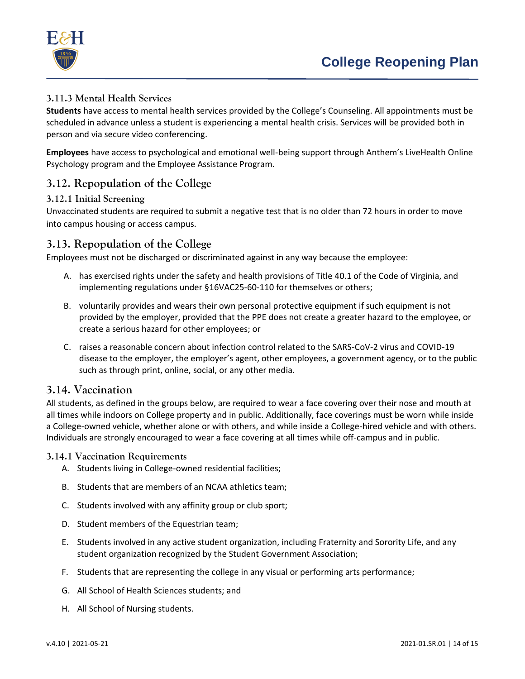

### **3.11.3 Mental Health Services**

**Students** have access to mental health services provided by the College's Counseling. All appointments must be scheduled in advance unless a student is experiencing a mental health crisis. Services will be provided both in person and via secure video conferencing.

**Employees** have access to psychological and emotional well-being support through Anthem's LiveHealth Online Psychology program and the Employee Assistance Program.

# **3.12. Repopulation of the College**

#### **3.12.1 Initial Screening**

Unvaccinated students are required to submit a negative test that is no older than 72 hours in order to move into campus housing or access campus.

# **3.13. Repopulation of the College**

Employees must not be discharged or discriminated against in any way because the employee:

- A. has exercised rights under the safety and health provisions of Title 40.1 of the Code of Virginia, and implementing regulations under §16VAC25-60-110 for themselves or others;
- B. voluntarily provides and wears their own personal protective equipment if such equipment is not provided by the employer, provided that the PPE does not create a greater hazard to the employee, or create a serious hazard for other employees; or
- C. raises a reasonable concern about infection control related to the SARS-CoV-2 virus and COVID-19 disease to the employer, the employer's agent, other employees, a government agency, or to the public such as through print, online, social, or any other media.

# **3.14. Vaccination**

All students, as defined in the groups below, are required to wear a face covering over their nose and mouth at all times while indoors on College property and in public. Additionally, face coverings must be worn while inside a College-owned vehicle, whether alone or with others, and while inside a College-hired vehicle and with others. Individuals are strongly encouraged to wear a face covering at all times while off-campus and in public.

#### **3.14.1 Vaccination Requirements**

- A. Students living in College-owned residential facilities;
- B. Students that are members of an NCAA athletics team;
- C. Students involved with any affinity group or club sport;
- D. Student members of the Equestrian team;
- E. Students involved in any active student organization, including Fraternity and Sorority Life, and any student organization recognized by the Student Government Association;
- F. Students that are representing the college in any visual or performing arts performance;
- G. All School of Health Sciences students; and
- H. All School of Nursing students.